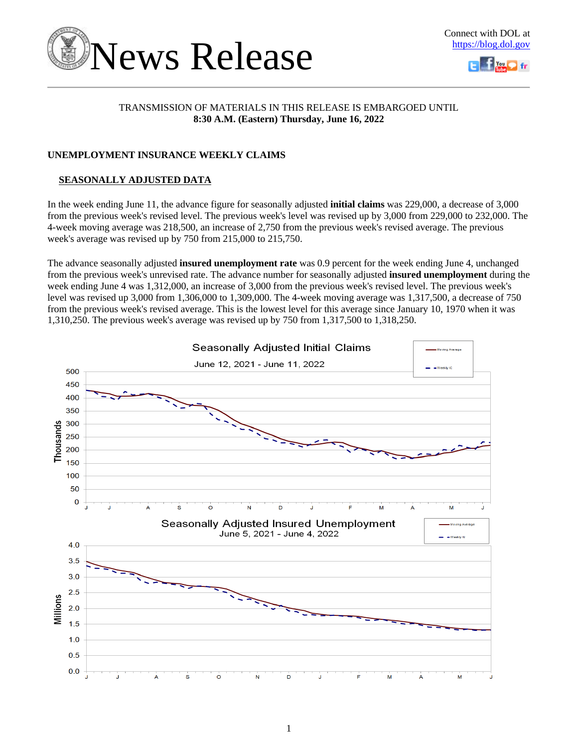



## TRANSMISSION OF MATERIALS IN THIS RELEASE IS EMBARGOED UNTIL **8:30 A.M. (Eastern) Thursday, June 16, 2022**

## **UNEMPLOYMENT INSURANCE WEEKLY CLAIMS**

## **SEASONALLY ADJUSTED DATA**

In the week ending June 11, the advance figure for seasonally adjusted **initial claims** was 229,000, a decrease of 3,000 from the previous week's revised level. The previous week's level was revised up by 3,000 from 229,000 to 232,000. The 4-week moving average was 218,500, an increase of 2,750 from the previous week's revised average. The previous week's average was revised up by 750 from 215,000 to 215,750.

The advance seasonally adjusted **insured unemployment rate** was 0.9 percent for the week ending June 4, unchanged from the previous week's unrevised rate. The advance number for seasonally adjusted **insured unemployment** during the week ending June 4 was 1,312,000, an increase of 3,000 from the previous week's revised level. The previous week's level was revised up 3,000 from 1,306,000 to 1,309,000. The 4-week moving average was 1,317,500, a decrease of 750 from the previous week's revised average. This is the lowest level for this average since January 10, 1970 when it was 1,310,250. The previous week's average was revised up by 750 from 1,317,500 to 1,318,250.

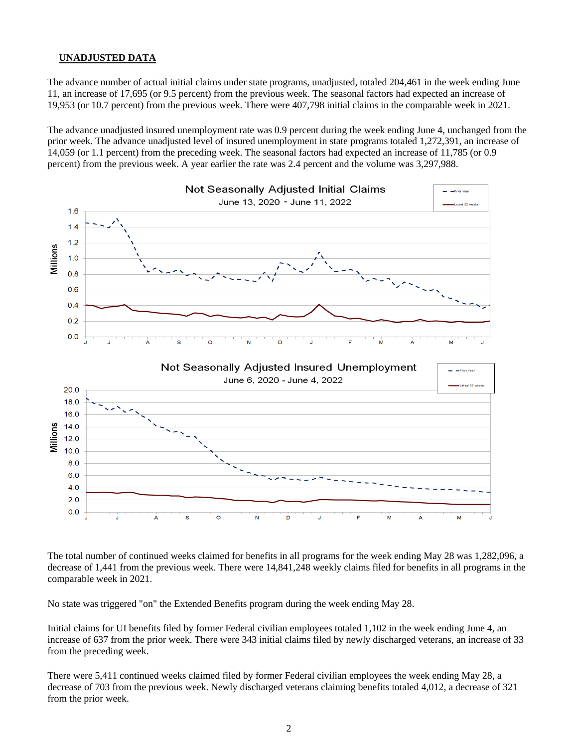## **UNADJUSTED DATA**

The advance number of actual initial claims under state programs, unadjusted, totaled 204,461 in the week ending June 11, an increase of 17,695 (or 9.5 percent) from the previous week. The seasonal factors had expected an increase of 19,953 (or 10.7 percent) from the previous week. There were 407,798 initial claims in the comparable week in 2021.

The advance unadjusted insured unemployment rate was 0.9 percent during the week ending June 4, unchanged from the prior week. The advance unadjusted level of insured unemployment in state programs totaled 1,272,391, an increase of 14,059 (or 1.1 percent) from the preceding week. The seasonal factors had expected an increase of 11,785 (or 0.9 percent) from the previous week. A year earlier the rate was 2.4 percent and the volume was 3,297,988.



The total number of continued weeks claimed for benefits in all programs for the week ending May 28 was 1,282,096, a decrease of 1,441 from the previous week. There were 14,841,248 weekly claims filed for benefits in all programs in the comparable week in 2021.

No state was triggered "on" the Extended Benefits program during the week ending May 28.

Initial claims for UI benefits filed by former Federal civilian employees totaled 1,102 in the week ending June 4, an increase of 637 from the prior week. There were 343 initial claims filed by newly discharged veterans, an increase of 33 from the preceding week.

There were 5,411 continued weeks claimed filed by former Federal civilian employees the week ending May 28, a decrease of 703 from the previous week. Newly discharged veterans claiming benefits totaled 4,012, a decrease of 321 from the prior week.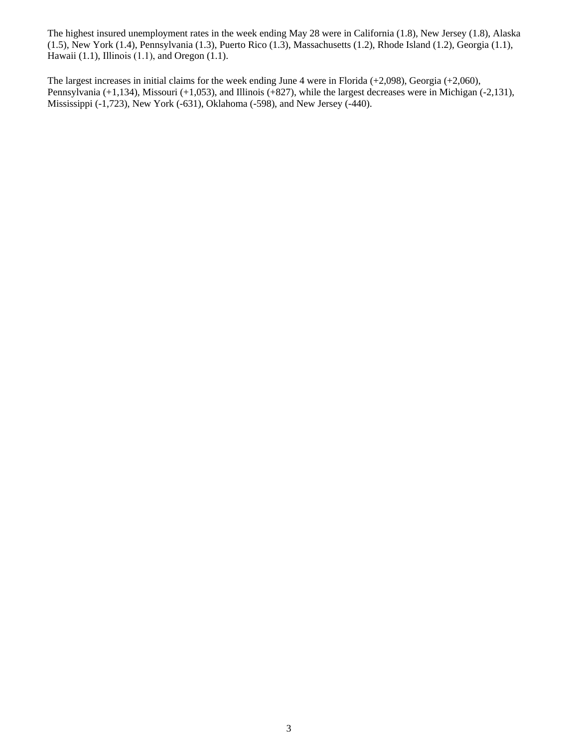The highest insured unemployment rates in the week ending May 28 were in California (1.8), New Jersey (1.8), Alaska (1.5), New York (1.4), Pennsylvania (1.3), Puerto Rico (1.3), Massachusetts (1.2), Rhode Island (1.2), Georgia (1.1), Hawaii (1.1), Illinois (1.1), and Oregon (1.1).

The largest increases in initial claims for the week ending June 4 were in Florida (+2,098), Georgia (+2,060), Pennsylvania (+1,134), Missouri (+1,053), and Illinois (+827), while the largest decreases were in Michigan (-2,131), Mississippi (-1,723), New York (-631), Oklahoma (-598), and New Jersey (-440).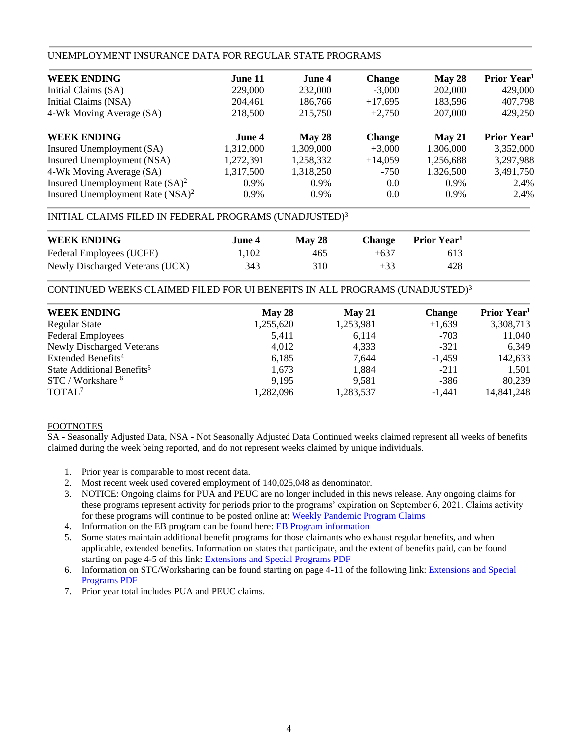## UNEMPLOYMENT INSURANCE DATA FOR REGULAR STATE PROGRAMS

| <b>WEEK ENDING</b>                           | June 11   | June 4    | <b>Change</b> | May 28    | Prior Year <sup>1</sup> |
|----------------------------------------------|-----------|-----------|---------------|-----------|-------------------------|
| Initial Claims (SA)                          | 229,000   | 232,000   | $-3.000$      | 202,000   | 429,000                 |
| Initial Claims (NSA)                         | 204.461   | 186,766   | $+17,695$     | 183,596   | 407,798                 |
| 4-Wk Moving Average (SA)                     | 218,500   | 215,750   | $+2.750$      | 207,000   | 429,250                 |
| <b>WEEK ENDING</b>                           | June 4    | May 28    | <b>Change</b> | May 21    | Prior Year <sup>1</sup> |
| Insured Unemployment (SA)                    | 1,312,000 | 1,309,000 | $+3.000$      | 1,306,000 | 3,352,000               |
| Insured Unemployment (NSA)                   | 1,272,391 | 1,258,332 | $+14,059$     | 1,256,688 | 3,297,988               |
| 4-Wk Moving Average (SA)                     | 1,317,500 | 1,318,250 | $-750$        | 1.326.500 | 3,491,750               |
| Insured Unemployment Rate $(SA)^2$           | $0.9\%$   | $0.9\%$   | 0.0           | $0.9\%$   | 2.4%                    |
| Insured Unemployment Rate (NSA) <sup>2</sup> | $0.9\%$   | $0.9\%$   | 0.0           | $0.9\%$   | 2.4%                    |

## INITIAL CLAIMS FILED IN FEDERAL PROGRAMS (UNADJUSTED)<sup>3</sup>

| <b>WEEK ENDING</b>              | June 4. | <b>May 28</b> | <b>Change</b> | <b>Prior Year</b> |
|---------------------------------|---------|---------------|---------------|-------------------|
| Federal Employees (UCFE)        | 1.102   | 465           | $+637$        | 613               |
| Newly Discharged Veterans (UCX) | 343     | 310           | $+33$         | 428               |

CONTINUED WEEKS CLAIMED FILED FOR UI BENEFITS IN ALL PROGRAMS (UNADJUSTED)<sup>3</sup>

| <b>WEEK ENDING</b><br>May 28<br>May 21                   | <b>Change</b> | Prior Year <sup>1</sup> |
|----------------------------------------------------------|---------------|-------------------------|
|                                                          |               |                         |
| 1,255,620<br>1,253,981<br><b>Regular State</b>           | $+1,639$      | 3,308,713               |
| <b>Federal Employees</b><br>5,411<br>6,114               | $-703$        | 11,040                  |
| <b>Newly Discharged Veterans</b><br>4,012<br>4,333       | $-321$        | 6,349                   |
| Extended Benefits <sup>4</sup><br>6,185<br>7,644         | $-1,459$      | 142,633                 |
| State Additional Benefits <sup>5</sup><br>1,884<br>1.673 | $-211$        | 1,501                   |
| STC / Workshare <sup>6</sup><br>9.195<br>9,581           | $-386$        | 80,239                  |
| TOTAL <sup>7</sup><br>1,282,096<br>1,283,537             | $-1,441$      | 14,841,248              |

### FOOTNOTES

SA - Seasonally Adjusted Data, NSA - Not Seasonally Adjusted Data Continued weeks claimed represent all weeks of benefits claimed during the week being reported, and do not represent weeks claimed by unique individuals.

- 1. Prior year is comparable to most recent data.
- 2. Most recent week used covered employment of 140,025,048 as denominator.
- 3. NOTICE: Ongoing claims for PUA and PEUC are no longer included in this news release. Any ongoing claims for these programs represent activity for periods prior to the programs' expiration on September 6, 2021. Claims activity for these programs will continue to be posted online at: [Weekly Pandemic Program Claims](https://oui.doleta.gov/unemploy/docs/weekly_pandemic_claims.xlsx)
- 4. Information on the EB program can be found here: [EB Program information](https://oui.doleta.gov/unemploy/extenben.asp)
- 5. Some states maintain additional benefit programs for those claimants who exhaust regular benefits, and when applicable, extended benefits. Information on states that participate, and the extent of benefits paid, can be found starting on page 4-5 of this link: [Extensions and Special Programs PDF](https://oui.doleta.gov/unemploy/pdf/uilawcompar/2021/special.pdf#page=5)
- 6. Information on STC/Worksharing can be found starting on page 4-11 of the following link: [Extensions and Special](https://oui.doleta.gov/unemploy/pdf/uilawcompar/2021/special.pdf#page=11) [Programs PDF](https://oui.doleta.gov/unemploy/pdf/uilawcompar/2021/special.pdf#page=11)
- 7. Prior year total includes PUA and PEUC claims.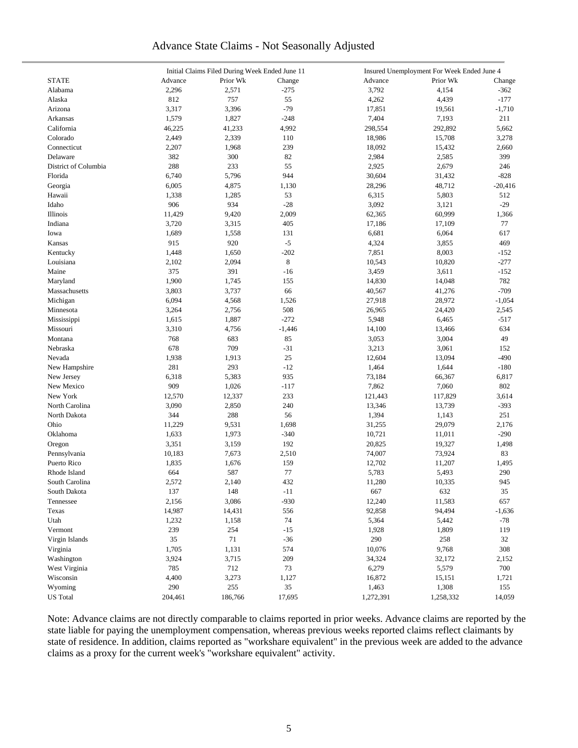## Advance State Claims - Not Seasonally Adjusted

|                      | Initial Claims Filed During Week Ended June 11 |          |          | Insured Unemployment For Week Ended June 4 |           |           |  |  |
|----------------------|------------------------------------------------|----------|----------|--------------------------------------------|-----------|-----------|--|--|
| <b>STATE</b>         | Advance                                        | Prior Wk | Change   | Advance                                    | Prior Wk  | Change    |  |  |
| Alabama              | 2,296                                          | 2,571    | $-275$   | 3,792                                      | 4,154     | $-362$    |  |  |
| Alaska               | 812                                            | 757      | 55       | 4,262                                      | 4,439     | $-177$    |  |  |
| Arizona              | 3,317                                          | 3,396    | $-79$    | 17,851                                     | 19,561    | $-1,710$  |  |  |
| Arkansas             | 1,579                                          | 1,827    | $-248$   | 7,404                                      | 7,193     | 211       |  |  |
| California           | 46,225                                         | 41,233   | 4,992    | 298,554                                    | 292,892   | 5,662     |  |  |
| Colorado             | 2,449                                          | 2,339    | 110      | 18,986                                     | 15,708    | 3,278     |  |  |
| Connecticut          | 2,207                                          | 1,968    | 239      | 18,092                                     | 15,432    | 2,660     |  |  |
| Delaware             | 382                                            | 300      | 82       | 2,984                                      | 2,585     | 399       |  |  |
| District of Columbia | 288                                            | 233      | 55       | 2,925                                      | 2,679     | 246       |  |  |
|                      |                                                | 5,796    | 944      |                                            |           | $-828$    |  |  |
| Florida              | 6,740                                          |          |          | 30,604                                     | 31,432    |           |  |  |
| Georgia              | 6,005                                          | 4,875    | 1,130    | 28,296                                     | 48,712    | $-20,416$ |  |  |
| Hawaii               | 1,338                                          | 1,285    | 53       | 6,315                                      | 5,803     | 512       |  |  |
| Idaho                | 906                                            | 934      | $-28$    | 3,092                                      | 3,121     | $-29$     |  |  |
| Illinois             | 11,429                                         | 9,420    | 2,009    | 62,365                                     | 60,999    | 1,366     |  |  |
| Indiana              | 3,720                                          | 3,315    | 405      | 17,186                                     | 17,109    | 77        |  |  |
| Iowa                 | 1,689                                          | 1,558    | 131      | 6,681                                      | 6,064     | 617       |  |  |
| Kansas               | 915                                            | 920      | $-5$     | 4,324                                      | 3,855     | 469       |  |  |
| Kentucky             | 1,448                                          | 1,650    | $-202$   | 7,851                                      | 8,003     | $-152$    |  |  |
| Louisiana            | 2,102                                          | 2,094    | 8        | 10,543                                     | 10,820    | $-277$    |  |  |
| Maine                | 375                                            | 391      | $-16$    | 3,459                                      | 3,611     | $-152$    |  |  |
| Maryland             | 1,900                                          | 1,745    | 155      | 14,830                                     | 14,048    | 782       |  |  |
| Massachusetts        | 3,803                                          | 3,737    | 66       | 40,567                                     | 41,276    | $-709$    |  |  |
| Michigan             | 6,094                                          | 4,568    | 1,526    | 27,918                                     | 28,972    | $-1,054$  |  |  |
| Minnesota            | 3,264                                          | 2,756    | 508      | 26,965                                     | 24,420    | 2,545     |  |  |
| Mississippi          | 1,615                                          | 1,887    | $-272$   | 5,948                                      | 6,465     | $-517$    |  |  |
| Missouri             | 3,310                                          | 4,756    | $-1,446$ | 14,100                                     | 13,466    | 634       |  |  |
| Montana              | 768                                            | 683      | 85       | 3,053                                      | 3,004     | 49        |  |  |
| Nebraska             | 678                                            | 709      | $-31$    | 3,213                                      | 3,061     | 152       |  |  |
| Nevada               | 1,938                                          | 1,913    | 25       | 12,604                                     | 13,094    | $-490$    |  |  |
| New Hampshire        | 281                                            | 293      | $-12$    | 1,464                                      | 1,644     | $-180$    |  |  |
| New Jersey           | 6,318                                          | 5,383    | 935      | 73,184                                     | 66,367    | 6,817     |  |  |
|                      | 909                                            | 1,026    |          | 7,862                                      |           | 802       |  |  |
| New Mexico           |                                                |          | $-117$   |                                            | 7,060     |           |  |  |
| New York             | 12,570                                         | 12,337   | 233      | 121,443                                    | 117,829   | 3,614     |  |  |
| North Carolina       | 3,090                                          | 2,850    | 240      | 13,346                                     | 13,739    | $-393$    |  |  |
| North Dakota         | 344                                            | 288      | 56       | 1,394                                      | 1,143     | 251       |  |  |
| Ohio                 | 11,229                                         | 9,531    | 1,698    | 31,255                                     | 29,079    | 2,176     |  |  |
| Oklahoma             | 1,633                                          | 1,973    | $-340$   | 10,721                                     | 11,011    | $-290$    |  |  |
| Oregon               | 3,351                                          | 3,159    | 192      | 20,825                                     | 19,327    | 1,498     |  |  |
| Pennsylvania         | 10,183                                         | 7,673    | 2,510    | 74,007                                     | 73,924    | 83        |  |  |
| Puerto Rico          | 1,835                                          | 1,676    | 159      | 12,702                                     | 11,207    | 1,495     |  |  |
| Rhode Island         | 664                                            | 587      | 77       | 5,783                                      | 5,493     | 290       |  |  |
| South Carolina       | 2,572                                          | 2,140    | 432      | 11,280                                     | 10,335    | 945       |  |  |
| South Dakota         | 137                                            | 148      | $-11$    | 667                                        | 632       | 35        |  |  |
| Tennessee            | 2,156                                          | 3,086    | $-930$   | 12,240                                     | 11,583    | 657       |  |  |
| Texas                | 14,987                                         | 14,431   | 556      | 92,858                                     | 94,494    | $-1,636$  |  |  |
| Utah                 | 1,232                                          | 1,158    | 74       | 5,364                                      | 5,442     | $-78$     |  |  |
| Vermont              | 239                                            | 254      | $-15$    | 1,928                                      | 1,809     | 119       |  |  |
| Virgin Islands       | 35                                             | 71       | $-36$    | 290                                        | 258       | 32        |  |  |
| Virginia             | 1,705                                          | 1,131    | 574      | 10,076                                     | 9,768     | 308       |  |  |
| Washington           | 3,924                                          | 3,715    | 209      | 34,324                                     | 32,172    | 2,152     |  |  |
| West Virginia        | 785                                            | 712      | 73       | 6,279                                      | 5,579     | 700       |  |  |
| Wisconsin            | 4,400                                          | 3,273    | 1,127    | 16,872                                     | 15,151    | 1,721     |  |  |
| Wyoming              | 290                                            | 255      | 35       | 1,463                                      | 1,308     | 155       |  |  |
| <b>US</b> Total      | 204,461                                        | 186,766  | 17,695   | 1,272,391                                  | 1,258,332 | 14,059    |  |  |
|                      |                                                |          |          |                                            |           |           |  |  |

Note: Advance claims are not directly comparable to claims reported in prior weeks. Advance claims are reported by the state liable for paying the unemployment compensation, whereas previous weeks reported claims reflect claimants by state of residence. In addition, claims reported as "workshare equivalent" in the previous week are added to the advance claims as a proxy for the current week's "workshare equivalent" activity.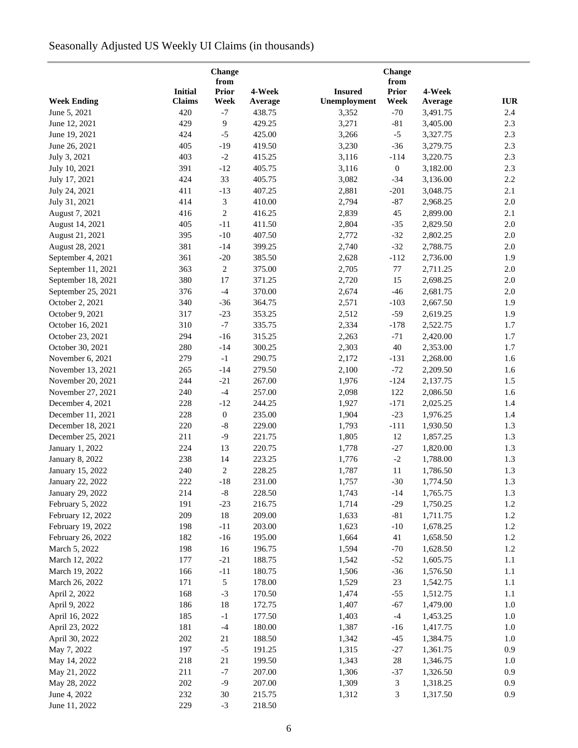# Seasonally Adjusted US Weekly UI Claims (in thousands)

|                    |                | Change<br>from   |         |                | Change<br>from   |          |            |
|--------------------|----------------|------------------|---------|----------------|------------------|----------|------------|
|                    | <b>Initial</b> | <b>Prior</b>     | 4-Week  | <b>Insured</b> | Prior            | 4-Week   |            |
| <b>Week Ending</b> | <b>Claims</b>  | Week             | Average | Unemployment   | Week             | Average  | <b>IUR</b> |
| June 5, 2021       | 420            | $-7$             | 438.75  | 3,352          | $-70$            | 3,491.75 | 2.4        |
| June 12, 2021      | 429            | 9                | 429.25  | 3,271          | $-81$            | 3,405.00 | 2.3        |
| June 19, 2021      | 424            | $-5$             | 425.00  | 3,266          | $-5$             | 3,327.75 | 2.3        |
| June 26, 2021      | 405            | $-19$            | 419.50  | 3,230          | $-36$            | 3,279.75 | 2.3        |
| July 3, 2021       | 403            | $-2$             | 415.25  | 3,116          | $-114$           | 3,220.75 | 2.3        |
| July 10, 2021      | 391            | $-12$            | 405.75  | 3,116          | $\boldsymbol{0}$ | 3,182.00 | 2.3        |
| July 17, 2021      | 424            | 33               | 405.75  | 3,082          | $-34$            | 3,136.00 | 2.2        |
|                    | 411            |                  | 407.25  |                |                  |          | 2.1        |
| July 24, 2021      | 414            | $-13$<br>3       | 410.00  | 2,881<br>2,794 | $-201$<br>$-87$  | 3,048.75 | 2.0        |
| July 31, 2021      |                |                  |         |                |                  | 2,968.25 |            |
| August 7, 2021     | 416            | $\mathbf{2}$     | 416.25  | 2,839          | 45               | 2,899.00 | 2.1        |
| August 14, 2021    | 405            | $-11$            | 411.50  | 2,804          | $-35$            | 2,829.50 | $2.0\,$    |
| August 21, 2021    | 395            | $-10$            | 407.50  | 2,772          | $-32$            | 2,802.25 | $2.0\,$    |
| August 28, 2021    | 381            | $-14$            | 399.25  | 2,740          | $-32$            | 2,788.75 | $2.0\,$    |
| September 4, 2021  | 361            | $-20$            | 385.50  | 2,628          | $-112$           | 2,736.00 | 1.9        |
| September 11, 2021 | 363            | $\sqrt{2}$       | 375.00  | 2,705          | 77               | 2,711.25 | $2.0\,$    |
| September 18, 2021 | 380            | 17               | 371.25  | 2,720          | 15               | 2,698.25 | $2.0\,$    |
| September 25, 2021 | 376            | $-4$             | 370.00  | 2,674          | $-46$            | 2,681.75 | $2.0\,$    |
| October 2, 2021    | 340            | $-36$            | 364.75  | 2,571          | $-103$           | 2,667.50 | 1.9        |
| October 9, 2021    | 317            | $-23$            | 353.25  | 2,512          | $-59$            | 2,619.25 | 1.9        |
| October 16, 2021   | 310            | $-7$             | 335.75  | 2,334          | $-178$           | 2,522.75 | 1.7        |
| October 23, 2021   | 294            | $-16$            | 315.25  | 2,263          | $-71$            | 2,420.00 | 1.7        |
| October 30, 2021   | 280            | $-14$            | 300.25  | 2,303          | $40\,$           | 2,353.00 | 1.7        |
| November 6, 2021   | 279            | $-1$             | 290.75  | 2,172          | $-131$           | 2,268.00 | 1.6        |
| November 13, 2021  | 265            | $-14$            | 279.50  | 2,100          | $-72$            | 2,209.50 | 1.6        |
| November 20, 2021  | 244            | $-21$            | 267.00  | 1,976          | $-124$           | 2,137.75 | 1.5        |
| November 27, 2021  | 240            | $-4$             | 257.00  | 2,098          | 122              | 2,086.50 | 1.6        |
| December 4, 2021   | 228            | $-12$            | 244.25  | 1,927          | $-171$           | 2,025.25 | 1.4        |
| December 11, 2021  | 228            | $\boldsymbol{0}$ | 235.00  | 1,904          | $-23$            | 1,976.25 | 1.4        |
| December 18, 2021  | 220            | $\mbox{-}8$      | 229.00  | 1,793          | $-111$           | 1,930.50 | 1.3        |
| December 25, 2021  | 211            | $-9$             | 221.75  | 1,805          | 12               | 1,857.25 | 1.3        |
| January 1, 2022    | 224            | 13               | 220.75  | 1,778          | $-27$            | 1,820.00 | 1.3        |
| January 8, 2022    | 238            | 14               | 223.25  | 1,776          | $-2$             | 1,788.00 | 1.3        |
| January 15, 2022   | 240            | $\overline{c}$   | 228.25  | 1,787          | 11               | 1,786.50 | 1.3        |
| January 22, 2022   | 222            | $-18$            | 231.00  | 1,757          | $-30$            | 1,774.50 | $1.3\,$    |
| January 29, 2022   | 214            | $\text{-}8$      | 228.50  | 1,743          | $-14$            | 1,765.75 | 1.3        |
| February 5, 2022   | 191            | $-23$            | 216.75  | 1,714          | $-29$            | 1,750.25 | $1.2\,$    |
| February 12, 2022  | 209            | 18               | 209.00  | 1,633          | $-81$            | 1,711.75 | $1.2\,$    |
| February 19, 2022  | 198            | $-11$            | 203.00  | 1,623          | $-10$            | 1,678.25 | 1.2        |
| February 26, 2022  | 182            | $-16$            | 195.00  | 1,664          | 41               | 1,658.50 | 1.2        |
| March 5, 2022      | 198            | 16               | 196.75  | 1,594          | $-70$            | 1,628.50 | 1.2        |
| March 12, 2022     | 177            | $-21$            | 188.75  | 1,542          | $-52$            | 1,605.75 | 1.1        |
| March 19, 2022     | 166            | $-11$            | 180.75  | 1,506          | $-36$            | 1,576.50 | 1.1        |
| March 26, 2022     | 171            | 5                | 178.00  | 1,529          | 23               | 1,542.75 | 1.1        |
|                    |                |                  |         |                |                  | 1,512.75 |            |
| April 2, 2022      | 168            | $-3$             | 170.50  | 1,474          | $-55$            |          | 1.1        |
| April 9, 2022      | 186            | 18               | 172.75  | 1,407          | $-67$            | 1,479.00 | 1.0        |
| April 16, 2022     | 185            | $-1$             | 177.50  | 1,403          | $-4$             | 1,453.25 | 1.0        |
| April 23, 2022     | 181            | $-4$             | 180.00  | 1,387          | $-16$            | 1,417.75 | 1.0        |
| April 30, 2022     | 202            | 21               | 188.50  | 1,342          | $-45$            | 1,384.75 | $1.0\,$    |
| May 7, 2022        | 197            | $-5$             | 191.25  | 1,315          | $-27$            | 1,361.75 | 0.9        |
| May 14, 2022       | 218            | 21               | 199.50  | 1,343          | $28\,$           | 1,346.75 | 1.0        |
| May 21, 2022       | 211            | $-7$             | 207.00  | 1,306          | $-37$            | 1,326.50 | 0.9        |
| May 28, 2022       | $202\,$        | $-9$             | 207.00  | 1,309          | 3                | 1,318.25 | 0.9        |
| June 4, 2022       | 232            | 30               | 215.75  | 1,312          | 3                | 1,317.50 | 0.9        |
| June 11, 2022      | 229            | $-3$             | 218.50  |                |                  |          |            |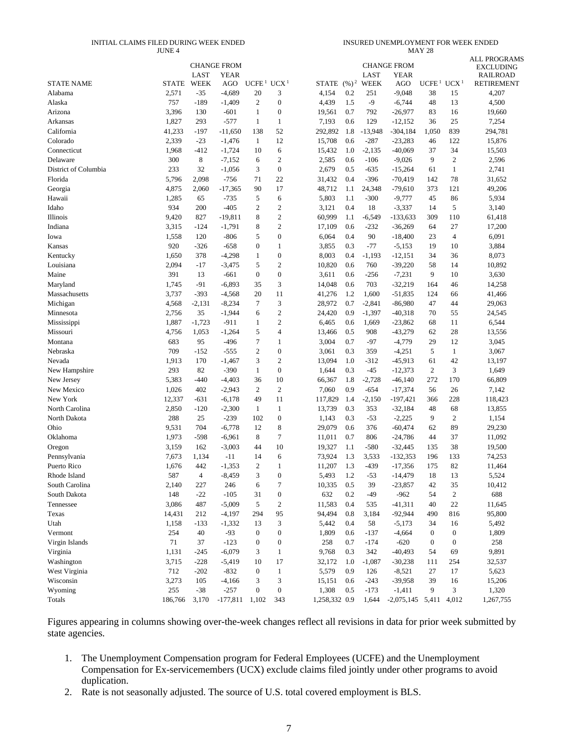#### INITIAL CLAIMS FILED DURING WEEK ENDED JUNE 4

INSURED UNEMPLOYMENT FOR WEEK ENDED MAY 28

|                      |              |                | <b>CHANGE FROM</b> |                   |                  |               |                   |             | <b>CHANGE FROM</b> |                   |                  | <b>ALL PROGRAMS</b>                 |
|----------------------|--------------|----------------|--------------------|-------------------|------------------|---------------|-------------------|-------------|--------------------|-------------------|------------------|-------------------------------------|
|                      |              | LAST           | <b>YEAR</b>        |                   |                  |               |                   | LAST        | <b>YEAR</b>        |                   |                  | <b>EXCLUDING</b><br><b>RAILROAD</b> |
| <b>STATE NAME</b>    | <b>STATE</b> | <b>WEEK</b>    | AGO                | UCFE <sup>1</sup> | UCX <sup>1</sup> | <b>STATE</b>  | $(\frac{9}{6})^2$ | <b>WEEK</b> | <b>AGO</b>         | UCFE <sup>1</sup> | UCX <sup>1</sup> | <b>RETIREMENT</b>                   |
| Alabama              | 2,571        | $-35$          | $-4,689$           | 20                | 3                | 4,154         | 0.2               | 251         | $-9,048$           | 38                | 15               | 4,207                               |
| Alaska               | 757          | $-189$         | $-1,409$           | $\mathfrak{2}$    | $\boldsymbol{0}$ | 4,439         | 1.5               | -9          | $-6,744$           | 48                | 13               | 4,500                               |
| Arizona              | 3,396        | 130            | $-601$             | 1                 | $\boldsymbol{0}$ | 19,561        | 0.7               | 792         | $-26,977$          | 83                | 16               | 19,660                              |
| Arkansas             | 1,827        | 293            | $-577$             | 1                 | 1                | 7,193         | 0.6               | 129         | $-12,152$          | 36                | 25               | 7,254                               |
| California           | 41,233       | $-197$         | $-11,650$          | 138               | 52               | 292,892       | 1.8               | $-13,948$   | $-304,184$         | 1,050             | 839              | 294,781                             |
| Colorado             | 2,339        | $-23$          | $-1,476$           | 1                 | 12               | 15,708        | 0.6               | -287        | $-23,283$          | 46                | 122              | 15,876                              |
| Connecticut          | 1,968        | $-412$         | $-1,724$           | 10                | 6                | 15,432        | 1.0               | $-2,135$    | $-40,069$          | 37                | 34               | 15,503                              |
| Delaware             | 300          | 8              | $-7,152$           | 6                 | $\boldsymbol{2}$ | 2,585         | 0.6               | -106        | $-9,026$           | 9                 | $\boldsymbol{2}$ | 2,596                               |
| District of Columbia | 233          | 32             | $-1,056$           | 3                 | $\boldsymbol{0}$ | 2,679         | 0.5               | -635        | $-15,264$          | 61                | $\mathbf{1}$     | 2,741                               |
| Florida              | 5,796        | 2,098          | $-756$             | 71                | 22               | 31,432        | 0.4               | -396        | $-70,419$          | 142               | 78               | 31,652                              |
| Georgia              | 4,875        | 2,060          | $-17,365$          | 90                | 17               | 48,712        | 1.1               | 24,348      | $-79,610$          | 373               | 121              | 49,206                              |
| Hawaii               | 1,285        | 65             | $-735$             | 5                 | 6                | 5,803         | 1.1               | -300        | $-9,777$           | 45                | 86               | 5,934                               |
| Idaho                | 934          | 200            | $-405$             | $\overline{c}$    | $\overline{c}$   | 3,121         | 0.4               | 18          | $-3,337$           | 14                | 5                | 3,140                               |
| Illinois             | 9,420        | 827            | $-19,811$          | 8                 | $\mathfrak{2}$   | 60,999        | 1.1               | $-6,549$    | $-133,633$         | 309               | 110              | 61,418                              |
| Indiana              | 3,315        | $-124$         | $-1,791$           | 8                 | $\overline{c}$   | 17,109        | 0.6               | -232        | $-36,269$          | 64                | 27               | 17,200                              |
| Iowa                 | 1,558        | 120            | $-806$             | 5                 | $\boldsymbol{0}$ | 6,064         | 0.4               | 90          | $-18,400$          | 23                | $\overline{4}$   | 6,091                               |
| Kansas               | 920          | $-326$         | $-658$             | $\mathbf{0}$      | 1                | 3,855         | 0.3               | $-77$       | $-5,153$           | 19                | 10               | 3,884                               |
| Kentucky             | 1,650        | 378            | $-4,298$           | 1                 | $\boldsymbol{0}$ | 8,003         | 0.4               | $-1,193$    | $-12,151$          | 34                | 36               | 8,073                               |
| Louisiana            | 2,094        | $-17$          | $-3,475$           | 5                 | $\overline{c}$   | 10,820        | 0.6               | 760         | $-39,220$          | 58                | 14               | 10,892                              |
| Maine                | 391          | 13             | $-661$             | $\boldsymbol{0}$  | $\boldsymbol{0}$ | 3,611         | 0.6               | $-256$      | $-7,231$           | 9                 | 10               | 3,630                               |
| Maryland             | 1,745        | $-91$          | $-6,893$           | 35                | 3                | 14,048        | 0.6               | 703         | $-32,219$          | 164               | 46               | 14,258                              |
| Massachusetts        | 3,737        | $-393$         | $-4,568$           | 20                | 11               | 41,276        | 1.2               | 1,600       | $-51,835$          | 124               | 66               | 41,466                              |
| Michigan             | 4,568        | $-2,131$       | $-8,234$           | $\tau$            | 3                | 28,972        | 0.7               | $-2,841$    | $-86,980$          | 47                | 44               | 29,063                              |
| Minnesota            | 2,756        | 35             | $-1,944$           | 6                 | $\boldsymbol{2}$ | 24,420        | 0.9               | $-1,397$    | $-40,318$          | 70                | 55               | 24,545                              |
| Mississippi          | 1,887        | $-1,723$       | $-911$             | 1                 | $\overline{c}$   | 6,465         | 0.6               | 1,669       | $-23,862$          | 68                | 11               | 6,544                               |
| Missouri             | 4,756        | 1,053          | $-1,264$           | 5                 | 4                | 13,466        | 0.5               | 908         | $-43,279$          | 62                | 28               | 13,556                              |
| Montana              | 683          | 95             | $-496$             | 7                 | 1                | 3,004         | 0.7               | -97         | $-4,779$           | 29                | 12               | 3,045                               |
| Nebraska             | 709          | $-152$         | $-555$             | $\overline{2}$    | $\boldsymbol{0}$ | 3,061         | 0.3               | 359         | $-4,251$           | 5                 | $\mathbf{1}$     | 3,067                               |
| Nevada               | 1,913        | 170            | $-1,467$           | 3                 | $\overline{c}$   | 13,094        | 1.0               | -312        | $-45,913$          | 61                | 42               | 13,197                              |
| New Hampshire        | 293          | 82             | $-390$             | 1                 | $\boldsymbol{0}$ | 1,644         | 0.3               | $-45$       | $-12,373$          | $\mathfrak{2}$    | 3                | 1,649                               |
| New Jersey           | 5,383        | $-440$         | $-4,403$           | 36                | 10               | 66,367        | 1.8               | $-2,728$    | $-46,140$          | 272               | 170              | 66,809                              |
| New Mexico           | 1,026        | 402            | $-2,943$           | 2                 | $\overline{c}$   | 7,060         | 0.9               | $-654$      | $-17,374$          | 56                | 26               | 7,142                               |
| New York             | 12,337       | $-631$         | $-6,178$           | 49                | 11               | 117,829       | 1.4               | $-2,150$    | $-197,421$         | 366               | 228              | 118,423                             |
| North Carolina       | 2,850        | $-120$         | $-2,300$           | 1                 | $\mathbf{1}$     | 13,739        | 0.3               | 353         | $-32,184$          | 48                | 68               | 13,855                              |
| North Dakota         | 288          | 25             | $-239$             | 102               | $\boldsymbol{0}$ | 1,143         | 0.3               | $-53$       | $-2,225$           | 9                 | $\mathfrak{2}$   | 1,154                               |
| Ohio                 | 9,531        | 704            | $-6,778$           | 12                | 8                | 29,079        | 0.6               | 376         | $-60,474$          | 62                | 89               | 29,230                              |
| Oklahoma             | 1,973        | $-598$         | $-6,961$           | 8                 | 7                | 11,011        | 0.7               | 806         | $-24,786$          | 44                | 37               | 11,092                              |
| Oregon               | 3,159        | 162            | $-3,003$           | 44                | 10               | 19,327        | 1.1               | -580        | $-32,445$          | 135               | 38               | 19,500                              |
| Pennsylvania         | 7,673        | 1,134          | $-11$              | 14                | 6                | 73,924        | 1.3               | 3,533       | $-132,353$         | 196               | 133              | 74,253                              |
| Puerto Rico          | 1,676        | 442            | $-1,353$           | $\overline{c}$    | 1                | 11,207        | 1.3               | $-439$      | $-17,356$          | 175               | 82               | 11,464                              |
| Rhode Island         | 587          | $\overline{4}$ | $-8,459$           | 3                 | $\overline{0}$   | 5,493         | 1.2               | $-53$       | $-14,479$          | 18                | 13               | 5,524                               |
| South Carolina       | 2,140        | 227            | 246                | 6                 | 7                | 10,335        | 0.5               | 39          | $-23,857$          | 42                | 35               | 10,412                              |
| South Dakota         | 148          | $-22$          | $-105$             | 31                | $\boldsymbol{0}$ | 632           | 0.2               | $-49$       | $-962$             | 54                | $\boldsymbol{2}$ | 688                                 |
| Tennessee            | 3,086        | 487            | $-5,009$           | 5                 | 2                | 11,583        | 0.4               | 535         | $-41,311$          | 40                | $22\,$           | 11,645                              |
| Texas                | 14,431       | 212            | $-4,197$           | 294               | 95               | 94,494        | 0.8               | 3,184       | $-92,944$          | 490               | 816              | 95,800                              |
| Utah                 | 1,158        | $-133$         | $-1,332$           | 13                | 3                | 5,442         | 0.4               | 58          | $-5,173$           | 34                | 16               | 5,492                               |
| Vermont              | 254          | 40             | $-93$              | $\mathbf{0}$      | $\boldsymbol{0}$ | 1,809         | 0.6               | $-137$      | $-4,664$           | $\boldsymbol{0}$  | $\boldsymbol{0}$ | 1,809                               |
| Virgin Islands       | 71           | 37             | $-123$             | $\boldsymbol{0}$  | $\boldsymbol{0}$ | 258           | 0.7               | $-174$      | $-620$             | $\boldsymbol{0}$  | $\boldsymbol{0}$ | 258                                 |
| Virginia             | 1,131        | $-245$         | $-6,079$           | 3                 | 1                | 9,768         | 0.3               | 342         | $-40,493$          | 54                | 69               | 9,891                               |
| Washington           | 3,715        | $-228$         | $-5,419$           | 10                | 17               | 32,172        | 1.0               | $-1,087$    | $-30,238$          | 111               | 254              | 32,537                              |
| West Virginia        | 712          | $-202$         | $-832$             | $\boldsymbol{0}$  | $\mathbf{1}$     | 5,579         | 0.9               | 126         | $-8,521$           | 27                | 17               | 5,623                               |
| Wisconsin            | 3,273        | 105            | $-4,166$           | 3                 | 3                | 15,151        | 0.6               | $-243$      | $-39,958$          | 39                | 16               | 15,206                              |
| Wyoming              | 255          | $-38$          | $-257$             | $\boldsymbol{0}$  | $\boldsymbol{0}$ | 1,308         | 0.5               | $-173$      | $-1,411$           | 9                 | 3                | 1,320                               |
| Totals               | 186,766      | 3,170          | $-177,811$         | 1,102             | 343              | 1,258,332 0.9 |                   | 1,644       | $-2,075,145$       | 5,411             | 4,012            | 1,267,755                           |
|                      |              |                |                    |                   |                  |               |                   |             |                    |                   |                  |                                     |

Figures appearing in columns showing over-the-week changes reflect all revisions in data for prior week submitted by state agencies.

- 1. The Unemployment Compensation program for Federal Employees (UCFE) and the Unemployment Compensation for Ex-servicemembers (UCX) exclude claims filed jointly under other programs to avoid duplication.
- 2. Rate is not seasonally adjusted. The source of U.S. total covered employment is BLS.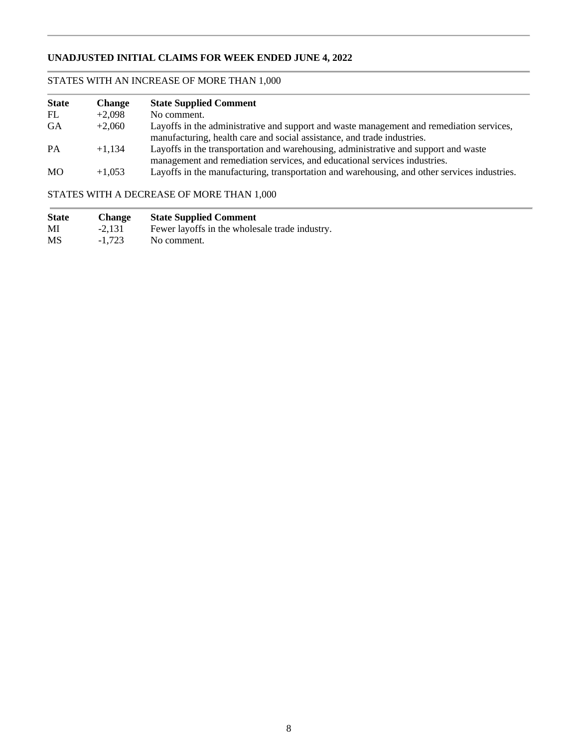## **UNADJUSTED INITIAL CLAIMS FOR WEEK ENDED JUNE 4, 2022**

## STATES WITH AN INCREASE OF MORE THAN 1,000

| <b>State</b> | <b>Change</b> | <b>State Supplied Comment</b>                                                                                                                                       |
|--------------|---------------|---------------------------------------------------------------------------------------------------------------------------------------------------------------------|
| FL           | $+2.098$      | No comment.                                                                                                                                                         |
| <b>GA</b>    | $+2.060$      | Layoffs in the administrative and support and waste management and remediation services,<br>manufacturing, health care and social assistance, and trade industries. |
| <b>PA</b>    | $+1.134$      | Layoffs in the transportation and warehousing, administrative and support and waste<br>management and remediation services, and educational services industries.    |
| <b>MO</b>    | $+1,053$      | Layoffs in the manufacturing, transportation and warehousing, and other services industries.                                                                        |

## STATES WITH A DECREASE OF MORE THAN 1,000

| <b>State</b> | <b>Change</b> | <b>State Supplied Comment</b>                  |
|--------------|---------------|------------------------------------------------|
| MI           | $-2.131$      | Fewer layoffs in the wholesale trade industry. |
| <b>MS</b>    | $-1.723$      | No comment.                                    |